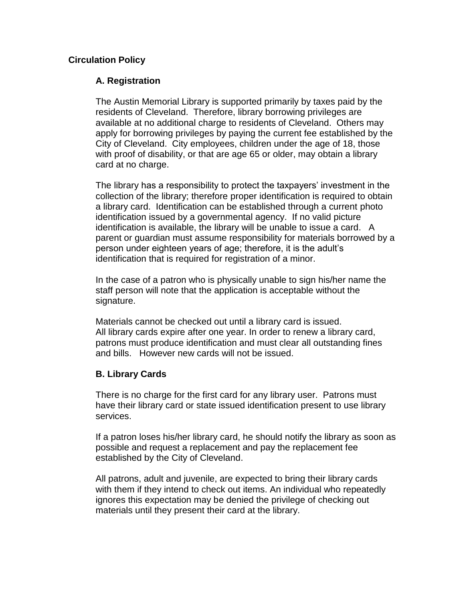#### **Circulation Policy**

# **A. Registration**

The Austin Memorial Library is supported primarily by taxes paid by the residents of Cleveland. Therefore, library borrowing privileges are available at no additional charge to residents of Cleveland. Others may apply for borrowing privileges by paying the current fee established by the City of Cleveland. City employees, children under the age of 18, those with proof of disability, or that are age 65 or older, may obtain a library card at no charge.

The library has a responsibility to protect the taxpayers' investment in the collection of the library; therefore proper identification is required to obtain a library card. Identification can be established through a current photo identification issued by a governmental agency. If no valid picture identification is available, the library will be unable to issue a card. A parent or guardian must assume responsibility for materials borrowed by a person under eighteen years of age; therefore, it is the adult's identification that is required for registration of a minor.

In the case of a patron who is physically unable to sign his/her name the staff person will note that the application is acceptable without the signature.

Materials cannot be checked out until a library card is issued. All library cards expire after one year. In order to renew a library card, patrons must produce identification and must clear all outstanding fines and bills. However new cards will not be issued.

#### **B. Library Cards**

There is no charge for the first card for any library user. Patrons must have their library card or state issued identification present to use library services.

If a patron loses his/her library card, he should notify the library as soon as possible and request a replacement and pay the replacement fee established by the City of Cleveland.

All patrons, adult and juvenile, are expected to bring their library cards with them if they intend to check out items. An individual who repeatedly ignores this expectation may be denied the privilege of checking out materials until they present their card at the library.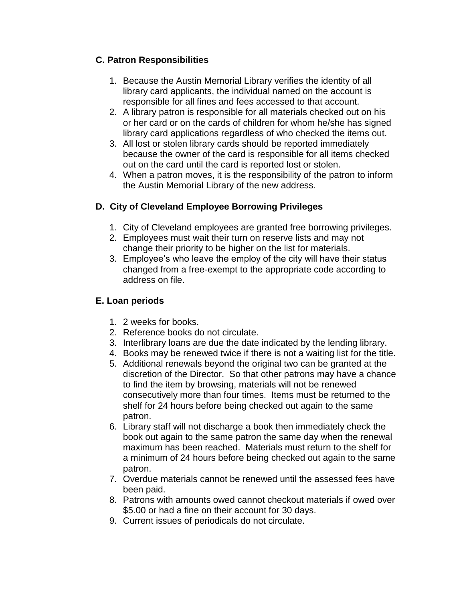# **C. Patron Responsibilities**

- 1. Because the Austin Memorial Library verifies the identity of all library card applicants, the individual named on the account is responsible for all fines and fees accessed to that account.
- 2. A library patron is responsible for all materials checked out on his or her card or on the cards of children for whom he/she has signed library card applications regardless of who checked the items out.
- 3. All lost or stolen library cards should be reported immediately because the owner of the card is responsible for all items checked out on the card until the card is reported lost or stolen.
- 4. When a patron moves, it is the responsibility of the patron to inform the Austin Memorial Library of the new address.

# **D. City of Cleveland Employee Borrowing Privileges**

- 1. City of Cleveland employees are granted free borrowing privileges.
- 2. Employees must wait their turn on reserve lists and may not change their priority to be higher on the list for materials.
- 3. Employee's who leave the employ of the city will have their status changed from a free-exempt to the appropriate code according to address on file.

# **E. Loan periods**

- 1. 2 weeks for books.
- 2. Reference books do not circulate.
- 3. Interlibrary loans are due the date indicated by the lending library.
- 4. Books may be renewed twice if there is not a waiting list for the title.
- 5. Additional renewals beyond the original two can be granted at the discretion of the Director. So that other patrons may have a chance to find the item by browsing, materials will not be renewed consecutively more than four times. Items must be returned to the shelf for 24 hours before being checked out again to the same patron.
- 6. Library staff will not discharge a book then immediately check the book out again to the same patron the same day when the renewal maximum has been reached. Materials must return to the shelf for a minimum of 24 hours before being checked out again to the same patron.
- 7. Overdue materials cannot be renewed until the assessed fees have been paid.
- 8. Patrons with amounts owed cannot checkout materials if owed over \$5.00 or had a fine on their account for 30 days.
- 9. Current issues of periodicals do not circulate.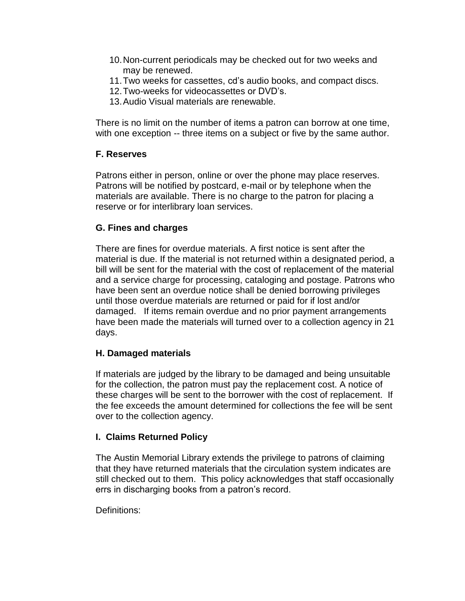- 10.Non-current periodicals may be checked out for two weeks and may be renewed.
- 11.Two weeks for cassettes, cd's audio books, and compact discs.
- 12.Two-weeks for videocassettes or DVD's.
- 13.Audio Visual materials are renewable.

There is no limit on the number of items a patron can borrow at one time, with one exception -- three items on a subject or five by the same author.

# **F. Reserves**

Patrons either in person, online or over the phone may place reserves. Patrons will be notified by postcard, e-mail or by telephone when the materials are available. There is no charge to the patron for placing a reserve or for interlibrary loan services.

# **G. Fines and charges**

There are fines for overdue materials. A first notice is sent after the material is due. If the material is not returned within a designated period, a bill will be sent for the material with the cost of replacement of the material and a service charge for processing, cataloging and postage. Patrons who have been sent an overdue notice shall be denied borrowing privileges until those overdue materials are returned or paid for if lost and/or damaged. If items remain overdue and no prior payment arrangements have been made the materials will turned over to a collection agency in 21 days.

# **H. Damaged materials**

If materials are judged by the library to be damaged and being unsuitable for the collection, the patron must pay the replacement cost. A notice of these charges will be sent to the borrower with the cost of replacement. If the fee exceeds the amount determined for collections the fee will be sent over to the collection agency.

# **I. Claims Returned Policy**

The Austin Memorial Library extends the privilege to patrons of claiming that they have returned materials that the circulation system indicates are still checked out to them. This policy acknowledges that staff occasionally errs in discharging books from a patron's record.

Definitions: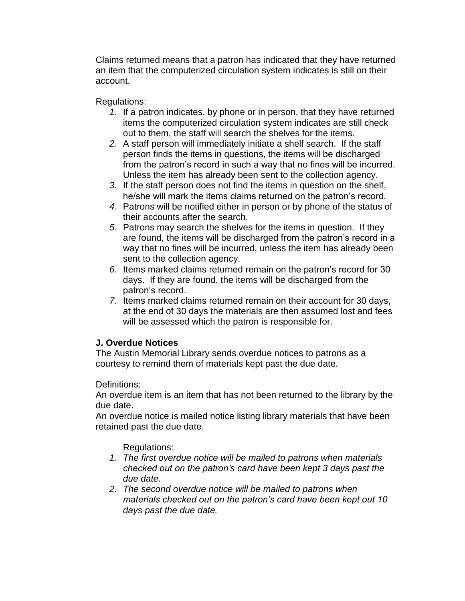Claims returned means that a patron has indicated that they have returned an item that the computerized circulation system indicates is still on their account.

Regulations:

- *1.* If a patron indicates, by phone or in person, that they have returned items the computerized circulation system indicates are still check out to them, the staff will search the shelves for the items.
- *2.* A staff person will immediately initiate a shelf search. If the staff person finds the items in questions, the items will be discharged from the patron's record in such a way that no fines will be incurred. Unless the item has already been sent to the collection agency.
- *3.* If the staff person does not find the items in question on the shelf, he/she will mark the items claims returned on the patron's record.
- *4.* Patrons will be notified either in person or by phone of the status of their accounts after the search.
- *5.* Patrons may search the shelves for the items in question. If they are found, the items will be discharged from the patron's record in a way that no fines will be incurred, unless the item has already been sent to the collection agency.
- *6.* Items marked claims returned remain on the patron's record for 30 days. If they are found, the items will be discharged from the patron's record.
- *7.* Items marked claims returned remain on their account for 30 days, at the end of 30 days the materials are then assumed lost and fees will be assessed which the patron is responsible for.

# **J. Overdue Notices**

The Austin Memorial Library sends overdue notices to patrons as a courtesy to remind them of materials kept past the due date.

Definitions:

An overdue item is an item that has not been returned to the library by the due date.

An overdue notice is mailed notice listing library materials that have been retained past the due date.

Regulations:

- *1. The first overdue notice will be mailed to patrons when materials checked out on the patron's card have been kept 3 days past the due date.*
- *2. The second overdue notice will be mailed to patrons when materials checked out on the patron's card have been kept out 10 days past the due date.*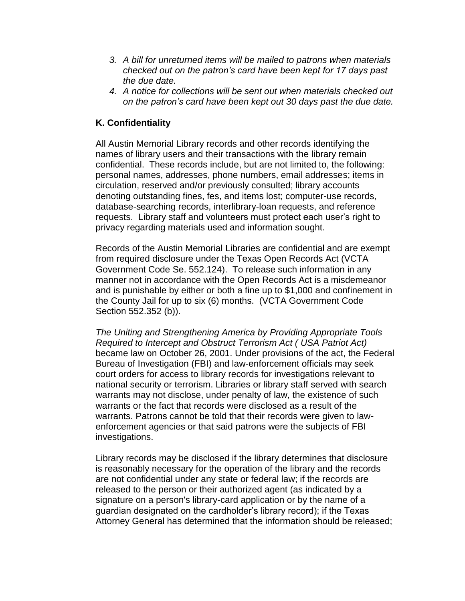- *3. A bill for unreturned items will be mailed to patrons when materials checked out on the patron's card have been kept for 17 days past the due date.*
- *4. A notice for collections will be sent out when materials checked out on the patron's card have been kept out 30 days past the due date.*

# **K. Confidentiality**

All Austin Memorial Library records and other records identifying the names of library users and their transactions with the library remain confidential. These records include, but are not limited to, the following: personal names, addresses, phone numbers, email addresses; items in circulation, reserved and/or previously consulted; library accounts denoting outstanding fines, fes, and items lost; computer-use records, database-searching records, interlibrary-loan requests, and reference requests. Library staff and volunteers must protect each user's right to privacy regarding materials used and information sought.

Records of the Austin Memorial Libraries are confidential and are exempt from required disclosure under the Texas Open Records Act (VCTA Government Code Se. 552.124). To release such information in any manner not in accordance with the Open Records Act is a misdemeanor and is punishable by either or both a fine up to \$1,000 and confinement in the County Jail for up to six (6) months. (VCTA Government Code Section 552.352 (b)).

*The Uniting and Strengthening America by Providing Appropriate Tools Required to Intercept and Obstruct Terrorism Act ( USA Patriot Act)*  became law on October 26, 2001. Under provisions of the act, the Federal Bureau of Investigation (FBI) and law-enforcement officials may seek court orders for access to library records for investigations relevant to national security or terrorism. Libraries or library staff served with search warrants may not disclose, under penalty of law, the existence of such warrants or the fact that records were disclosed as a result of the warrants. Patrons cannot be told that their records were given to lawenforcement agencies or that said patrons were the subjects of FBI investigations.

Library records may be disclosed if the library determines that disclosure is reasonably necessary for the operation of the library and the records are not confidential under any state or federal law; if the records are released to the person or their authorized agent (as indicated by a signature on a person's library-card application or by the name of a guardian designated on the cardholder's library record); if the Texas Attorney General has determined that the information should be released;